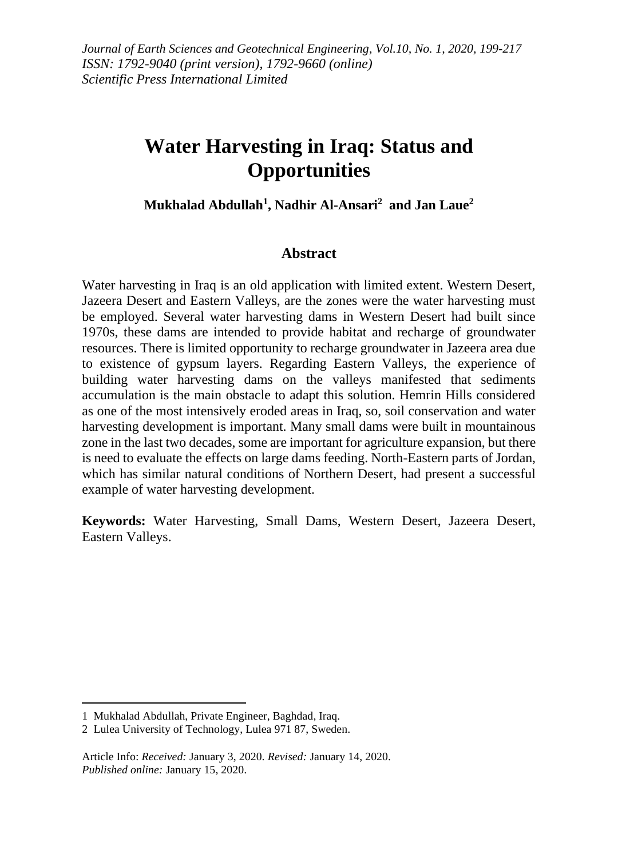# **Water Harvesting in Iraq: Status and Opportunities**

**Mukhalad Abdullah<sup>1</sup> , Nadhir Al-Ansari<sup>2</sup> and Jan Laue<sup>2</sup>**

#### **Abstract**

Water harvesting in Iraq is an old application with limited extent. Western Desert, Jazeera Desert and Eastern Valleys, are the zones were the water harvesting must be employed. Several water harvesting dams in Western Desert had built since 1970s, these dams are intended to provide habitat and recharge of groundwater resources. There is limited opportunity to recharge groundwater in Jazeera area due to existence of gypsum layers. Regarding Eastern Valleys, the experience of building water harvesting dams on the valleys manifested that sediments accumulation is the main obstacle to adapt this solution. Hemrin Hills considered as one of the most intensively eroded areas in Iraq, so, soil conservation and water harvesting development is important. Many small dams were built in mountainous zone in the last two decades, some are important for agriculture expansion, but there is need to evaluate the effects on large dams feeding. North-Eastern parts of Jordan, which has similar natural conditions of Northern Desert, had present a successful example of water harvesting development.

**Keywords:** Water Harvesting, Small Dams, Western Desert, Jazeera Desert, Eastern Valleys.

<sup>1</sup> Mukhalad Abdullah, Private Engineer, Baghdad, Iraq.

<sup>2</sup> Lulea University of Technology, Lulea 971 87, Sweden.

Article Info: *Received:* January 3, 2020. *Revised:* January 14, 2020. *Published online:* January 15, 2020.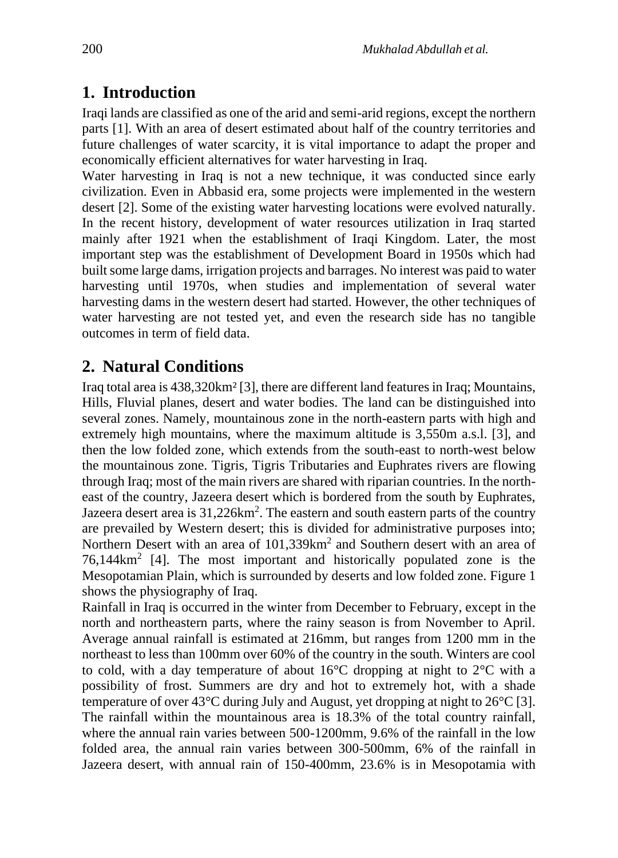### **1. Introduction**

Iraqi lands are classified as one of the arid and semi-arid regions, except the northern parts [1]. With an area of desert estimated about half of the country territories and future challenges of water scarcity, it is vital importance to adapt the proper and economically efficient alternatives for water harvesting in Iraq.

Water harvesting in Iraq is not a new technique, it was conducted since early civilization. Even in Abbasid era, some projects were implemented in the western desert [2]. Some of the existing water harvesting locations were evolved naturally. In the recent history, development of water resources utilization in Iraq started mainly after 1921 when the establishment of Iraqi Kingdom. Later, the most important step was the establishment of Development Board in 1950s which had built some large dams, irrigation projects and barrages. No interest was paid to water harvesting until 1970s, when studies and implementation of several water harvesting dams in the western desert had started. However, the other techniques of water harvesting are not tested yet, and even the research side has no tangible outcomes in term of field data.

## **2. Natural Conditions**

Iraq total area is 438,320km² [3], there are different land features in Iraq; Mountains, Hills, Fluvial planes, desert and water bodies. The land can be distinguished into several zones. Namely, mountainous zone in the north-eastern parts with high and extremely high mountains, where the maximum altitude is 3,550m a.s.l. [3], and then the low folded zone, which extends from the south-east to north-west below the mountainous zone. Tigris, Tigris Tributaries and Euphrates rivers are flowing through Iraq; most of the main rivers are shared with riparian countries. In the northeast of the country, Jazeera desert which is bordered from the south by Euphrates, Jazeera desert area is  $31,226$  km<sup>2</sup>. The eastern and south eastern parts of the country are prevailed by Western desert; this is divided for administrative purposes into; Northern Desert with an area of 101,339km<sup>2</sup> and Southern desert with an area of 76,144km<sup>2</sup> [4]. The most important and historically populated zone is the Mesopotamian Plain, which is surrounded by deserts and low folded zone. Figure 1 shows the physiography of Iraq.

Rainfall in Iraq is occurred in the winter from December to February, except in the north and northeastern parts, where the rainy season is from November to April. Average annual rainfall is estimated at 216mm, but ranges from 1200 mm in the northeast to less than 100mm over 60% of the country in the south. Winters are cool to cold, with a day temperature of about 16°C dropping at night to 2°C with a possibility of frost. Summers are dry and hot to extremely hot, with a shade temperature of over  $43^{\circ}$ C during July and August, yet dropping at night to  $26^{\circ}$ C [3]. The rainfall within the mountainous area is 18.3% of the total country rainfall, where the annual rain varies between 500-1200mm, 9.6% of the rainfall in the low folded area, the annual rain varies between 300-500mm, 6% of the rainfall in Jazeera desert, with annual rain of 150-400mm, 23.6% is in Mesopotamia with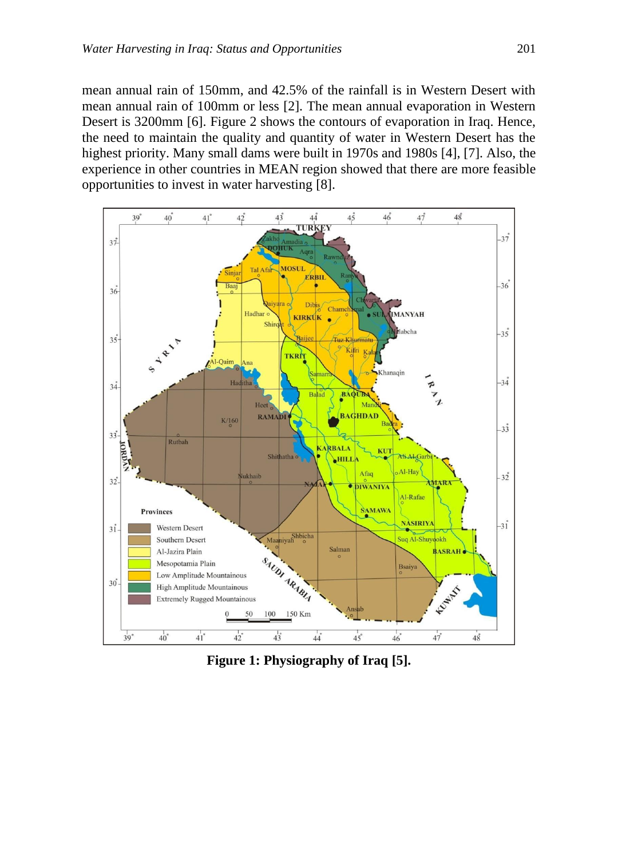mean annual rain of 150mm, and 42.5% of the rainfall is in Western Desert with mean annual rain of 100mm or less [2]. The mean annual evaporation in Western Desert is 3200mm [6]. Figure 2 shows the contours of evaporation in Iraq. Hence, the need to maintain the quality and quantity of water in Western Desert has the highest priority. Many small dams were built in 1970s and 1980s [4], [7]. Also, the experience in other countries in MEAN region showed that there are more feasible opportunities to invest in water harvesting [8].



**Figure 1: Physiography of Iraq [5].**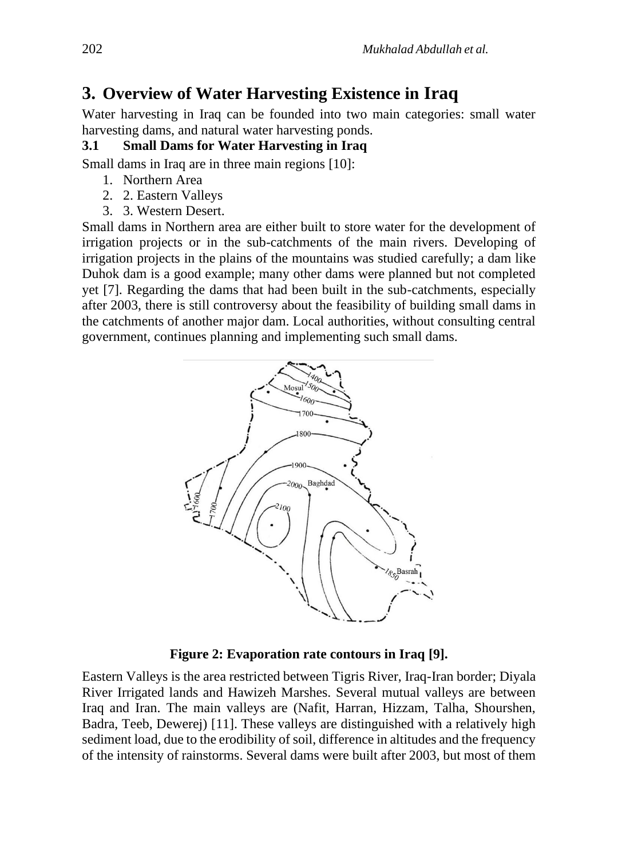# **3. Overview of Water Harvesting Existence in Iraq**

Water harvesting in Iraq can be founded into two main categories: small water harvesting dams, and natural water harvesting ponds.

#### **3.1 Small Dams for Water Harvesting in Iraq**

Small dams in Iraq are in three main regions [10]:

- 1. Northern Area
- 2. 2. Eastern Valleys
- 3. 3. Western Desert.

Small dams in Northern area are either built to store water for the development of irrigation projects or in the sub-catchments of the main rivers. Developing of irrigation projects in the plains of the mountains was studied carefully; a dam like Duhok dam is a good example; many other dams were planned but not completed yet [7]. Regarding the dams that had been built in the sub-catchments, especially after 2003, there is still controversy about the feasibility of building small dams in the catchments of another major dam. Local authorities, without consulting central government, continues planning and implementing such small dams.



**Figure 2: Evaporation rate contours in Iraq [9].**

Eastern Valleys is the area restricted between Tigris River, Iraq-Iran border; Diyala River Irrigated lands and Hawizeh Marshes. Several mutual valleys are between Iraq and Iran. The main valleys are (Nafit, Harran, Hizzam, Talha, Shourshen, Badra, Teeb, Dewerej) [11]. These valleys are distinguished with a relatively high sediment load, due to the erodibility of soil, difference in altitudes and the frequency of the intensity of rainstorms. Several dams were built after 2003, but most of them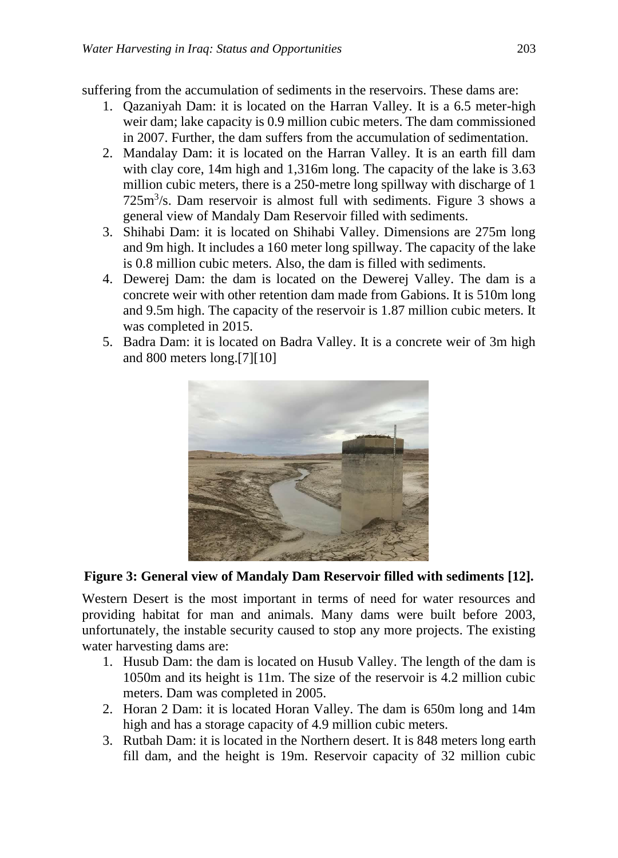suffering from the accumulation of sediments in the reservoirs. These dams are:

- 1. Qazaniyah Dam: it is located on the Harran Valley. It is a 6.5 meter-high weir dam; lake capacity is 0.9 million cubic meters. The dam commissioned in 2007. Further, the dam suffers from the accumulation of sedimentation.
- 2. Mandalay Dam: it is located on the Harran Valley. It is an earth fill dam with clay core, 14m high and 1,316m long. The capacity of the lake is 3.63 million cubic meters, there is a 250-metre long spillway with discharge of 1 725m<sup>3</sup> /s. Dam reservoir is almost full with sediments. Figure 3 shows a general view of Mandaly Dam Reservoir filled with sediments.
- 3. Shihabi Dam: it is located on Shihabi Valley. Dimensions are 275m long and 9m high. It includes a 160 meter long spillway. The capacity of the lake is 0.8 million cubic meters. Also, the dam is filled with sediments.
- 4. Dewerej Dam: the dam is located on the Dewerej Valley. The dam is a concrete weir with other retention dam made from Gabions. It is 510m long and 9.5m high. The capacity of the reservoir is 1.87 million cubic meters. It was completed in 2015.
- 5. Badra Dam: it is located on Badra Valley. It is a concrete weir of 3m high and 800 meters long.[7][10]



#### **Figure 3: General view of Mandaly Dam Reservoir filled with sediments [12].**

Western Desert is the most important in terms of need for water resources and providing habitat for man and animals. Many dams were built before 2003, unfortunately, the instable security caused to stop any more projects. The existing water harvesting dams are:

- 1. Husub Dam: the dam is located on Husub Valley. The length of the dam is 1050m and its height is 11m. The size of the reservoir is 4.2 million cubic meters. Dam was completed in 2005.
- 2. Horan 2 Dam: it is located Horan Valley. The dam is 650m long and 14m high and has a storage capacity of 4.9 million cubic meters.
- 3. Rutbah Dam: it is located in the Northern desert. It is 848 meters long earth fill dam, and the height is 19m. Reservoir capacity of 32 million cubic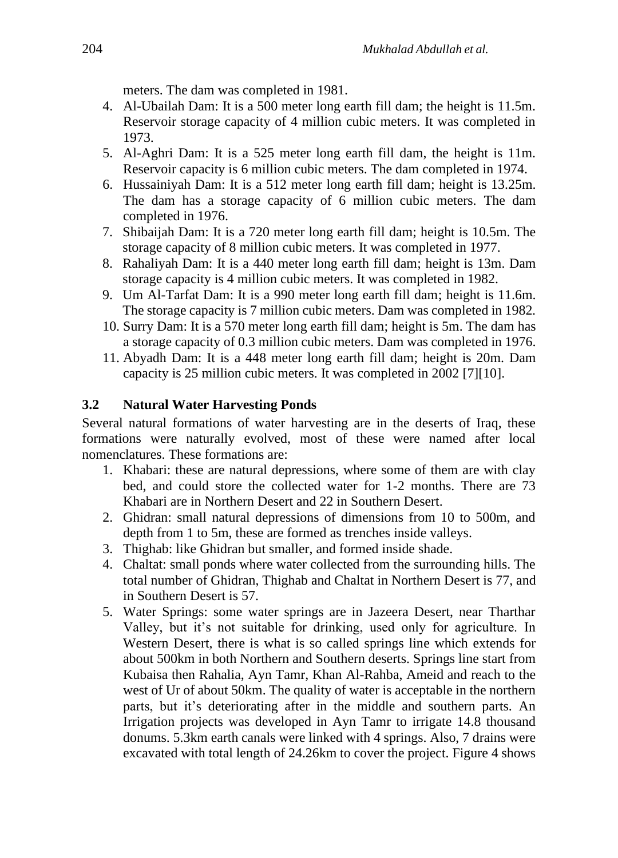meters. The dam was completed in 1981.

- 4. Al-Ubailah Dam: It is a 500 meter long earth fill dam; the height is 11.5m. Reservoir storage capacity of 4 million cubic meters. It was completed in 1973.
- 5. Al-Aghri Dam: It is a 525 meter long earth fill dam, the height is 11m. Reservoir capacity is 6 million cubic meters. The dam completed in 1974.
- 6. Hussainiyah Dam: It is a 512 meter long earth fill dam; height is 13.25m. The dam has a storage capacity of 6 million cubic meters. The dam completed in 1976.
- 7. Shibaijah Dam: It is a 720 meter long earth fill dam; height is 10.5m. The storage capacity of 8 million cubic meters. It was completed in 1977.
- 8. Rahaliyah Dam: It is a 440 meter long earth fill dam; height is 13m. Dam storage capacity is 4 million cubic meters. It was completed in 1982.
- 9. Um Al-Tarfat Dam: It is a 990 meter long earth fill dam; height is 11.6m. The storage capacity is 7 million cubic meters. Dam was completed in 1982.
- 10. Surry Dam: It is a 570 meter long earth fill dam; height is 5m. The dam has a storage capacity of 0.3 million cubic meters. Dam was completed in 1976.
- 11. Abyadh Dam: It is a 448 meter long earth fill dam; height is 20m. Dam capacity is 25 million cubic meters. It was completed in 2002 [7][10].

#### **3.2 Natural Water Harvesting Ponds**

Several natural formations of water harvesting are in the deserts of Iraq, these formations were naturally evolved, most of these were named after local nomenclatures. These formations are:

- 1. Khabari: these are natural depressions, where some of them are with clay bed, and could store the collected water for 1-2 months. There are 73 Khabari are in Northern Desert and 22 in Southern Desert.
- 2. Ghidran: small natural depressions of dimensions from 10 to 500m, and depth from 1 to 5m, these are formed as trenches inside valleys.
- 3. Thighab: like Ghidran but smaller, and formed inside shade.
- 4. Chaltat: small ponds where water collected from the surrounding hills. The total number of Ghidran, Thighab and Chaltat in Northern Desert is 77, and in Southern Desert is 57.
- 5. Water Springs: some water springs are in Jazeera Desert, near Tharthar Valley, but it's not suitable for drinking, used only for agriculture. In Western Desert, there is what is so called springs line which extends for about 500km in both Northern and Southern deserts. Springs line start from Kubaisa then Rahalia, Ayn Tamr, Khan Al-Rahba, Ameid and reach to the west of Ur of about 50km. The quality of water is acceptable in the northern parts, but it's deteriorating after in the middle and southern parts. An Irrigation projects was developed in Ayn Tamr to irrigate 14.8 thousand donums. 5.3km earth canals were linked with 4 springs. Also, 7 drains were excavated with total length of 24.26km to cover the project. Figure 4 shows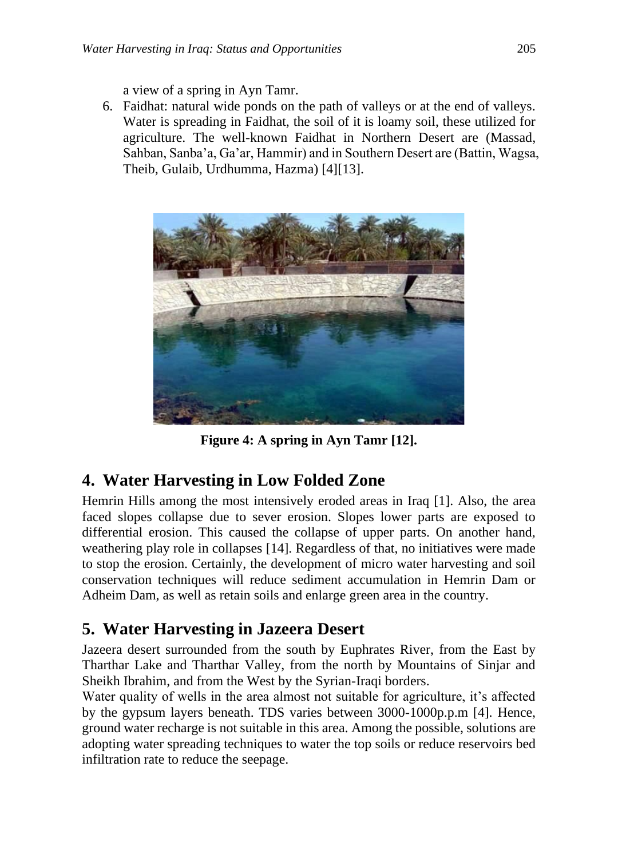a view of a spring in Ayn Tamr.

6. Faidhat: natural wide ponds on the path of valleys or at the end of valleys. Water is spreading in Faidhat, the soil of it is loamy soil, these utilized for agriculture. The well-known Faidhat in Northern Desert are (Massad, Sahban, Sanba'a, Ga'ar, Hammir) and in Southern Desert are (Battin, Wagsa, Theib, Gulaib, Urdhumma, Hazma) [4][13].



**Figure 4: A spring in Ayn Tamr [12].**

# **4. Water Harvesting in Low Folded Zone**

Hemrin Hills among the most intensively eroded areas in Iraq [1]. Also, the area faced slopes collapse due to sever erosion. Slopes lower parts are exposed to differential erosion. This caused the collapse of upper parts. On another hand, weathering play role in collapses [14]. Regardless of that, no initiatives were made to stop the erosion. Certainly, the development of micro water harvesting and soil conservation techniques will reduce sediment accumulation in Hemrin Dam or Adheim Dam, as well as retain soils and enlarge green area in the country.

# **5. Water Harvesting in Jazeera Desert**

Jazeera desert surrounded from the south by Euphrates River, from the East by Tharthar Lake and Tharthar Valley, from the north by Mountains of Sinjar and Sheikh Ibrahim, and from the West by the Syrian-Iraqi borders.

Water quality of wells in the area almost not suitable for agriculture, it's affected by the gypsum layers beneath. TDS varies between 3000-1000p.p.m [4]. Hence, ground water recharge is not suitable in this area. Among the possible, solutions are adopting water spreading techniques to water the top soils or reduce reservoirs bed infiltration rate to reduce the seepage.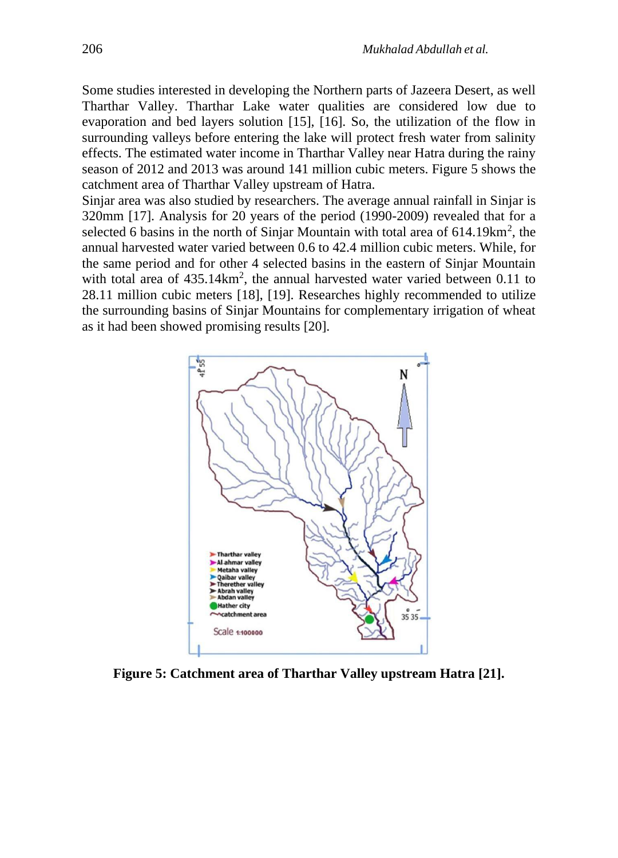Some studies interested in developing the Northern parts of Jazeera Desert, as well Tharthar Valley. Tharthar Lake water qualities are considered low due to evaporation and bed layers solution [15], [16]. So, the utilization of the flow in surrounding valleys before entering the lake will protect fresh water from salinity effects. The estimated water income in Tharthar Valley near Hatra during the rainy season of 2012 and 2013 was around 141 million cubic meters. Figure 5 shows the catchment area of Tharthar Valley upstream of Hatra.

Sinjar area was also studied by researchers. The average annual rainfall in Sinjar is 320mm [17]. Analysis for 20 years of the period (1990-2009) revealed that for a selected 6 basins in the north of Sinjar Mountain with total area of  $614.19 \text{km}^2$ , the annual harvested water varied between 0.6 to 42.4 million cubic meters. While, for the same period and for other 4 selected basins in the eastern of Sinjar Mountain with total area of  $435.14 \text{km}^2$ , the annual harvested water varied between 0.11 to 28.11 million cubic meters [18], [19]. Researches highly recommended to utilize the surrounding basins of Sinjar Mountains for complementary irrigation of wheat as it had been showed promising results [20].



**Figure 5: Catchment area of Tharthar Valley upstream Hatra [21].**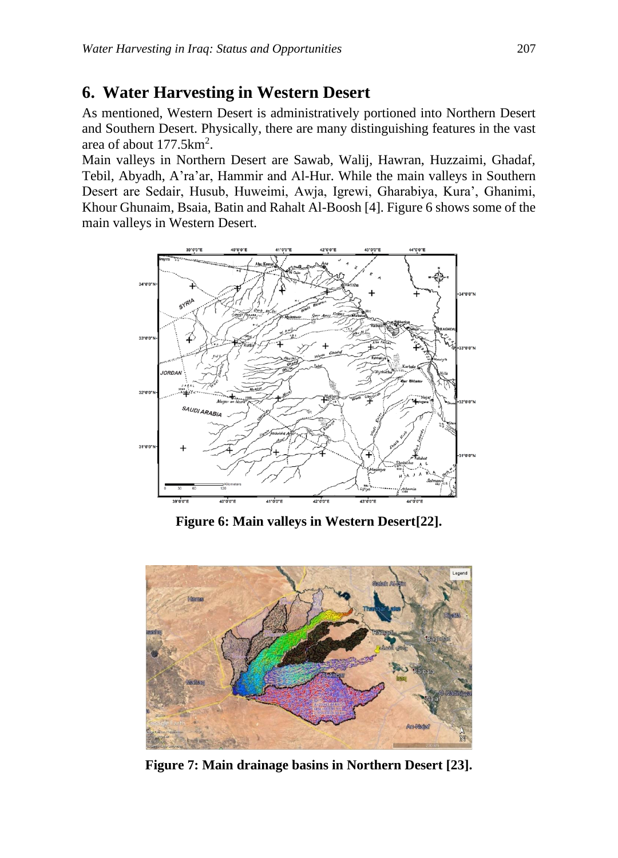#### **6. Water Harvesting in Western Desert**

As mentioned, Western Desert is administratively portioned into Northern Desert and Southern Desert. Physically, there are many distinguishing features in the vast area of about 177.5km<sup>2</sup>.

Main valleys in Northern Desert are Sawab, Walij, Hawran, Huzzaimi, Ghadaf, Tebil, Abyadh, A'ra'ar, Hammir and Al-Hur. While the main valleys in Southern Desert are Sedair, Husub, Huweimi, Awja, Igrewi, Gharabiya, Kura', Ghanimi, Khour Ghunaim, Bsaia, Batin and Rahalt Al-Boosh [4]. Figure 6 shows some of the main valleys in Western Desert.



**Figure 6: Main valleys in Western Desert[22].**



**Figure 7: Main drainage basins in Northern Desert [23].**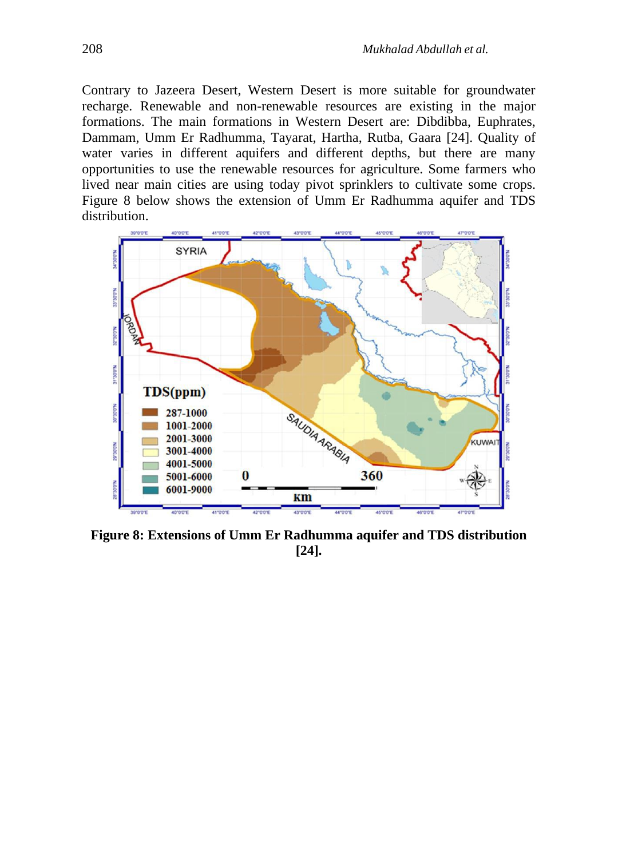Contrary to Jazeera Desert, Western Desert is more suitable for groundwater recharge. Renewable and non-renewable resources are existing in the major formations. The main formations in Western Desert are: Dibdibba, Euphrates, Dammam, Umm Er Radhumma, Tayarat, Hartha, Rutba, Gaara [24]. Quality of water varies in different aquifers and different depths, but there are many opportunities to use the renewable resources for agriculture. Some farmers who lived near main cities are using today pivot sprinklers to cultivate some crops. Figure 8 below shows the extension of Umm Er Radhumma aquifer and TDS distribution.



**Figure 8: Extensions of Umm Er Radhumma aquifer and TDS distribution [24].**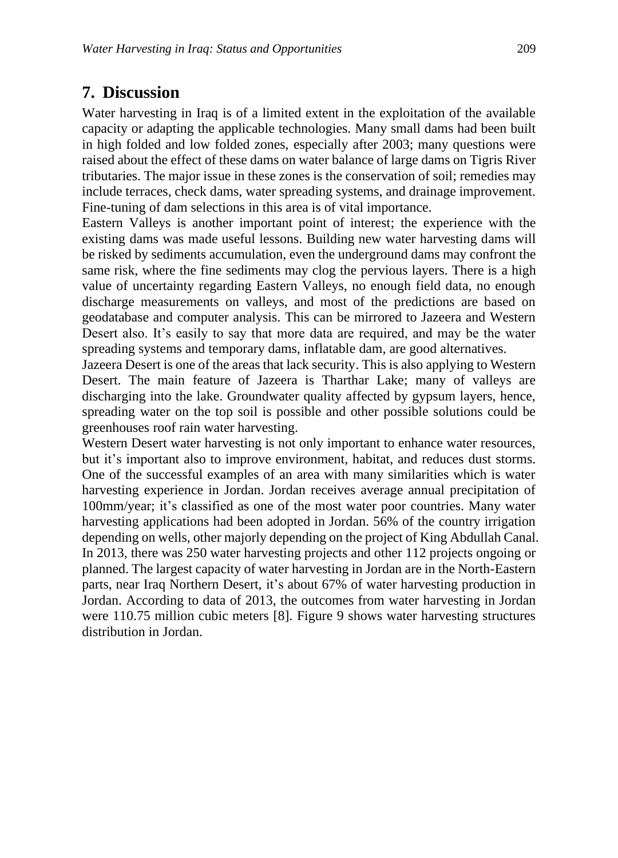### **7. Discussion**

Water harvesting in Iraq is of a limited extent in the exploitation of the available capacity or adapting the applicable technologies. Many small dams had been built in high folded and low folded zones, especially after 2003; many questions were raised about the effect of these dams on water balance of large dams on Tigris River tributaries. The major issue in these zones is the conservation of soil; remedies may include terraces, check dams, water spreading systems, and drainage improvement. Fine-tuning of dam selections in this area is of vital importance.

Eastern Valleys is another important point of interest; the experience with the existing dams was made useful lessons. Building new water harvesting dams will be risked by sediments accumulation, even the underground dams may confront the same risk, where the fine sediments may clog the pervious layers. There is a high value of uncertainty regarding Eastern Valleys, no enough field data, no enough discharge measurements on valleys, and most of the predictions are based on geodatabase and computer analysis. This can be mirrored to Jazeera and Western Desert also. It's easily to say that more data are required, and may be the water spreading systems and temporary dams, inflatable dam, are good alternatives.

Jazeera Desert is one of the areas that lack security. This is also applying to Western Desert. The main feature of Jazeera is Tharthar Lake; many of valleys are discharging into the lake. Groundwater quality affected by gypsum layers, hence, spreading water on the top soil is possible and other possible solutions could be greenhouses roof rain water harvesting.

Western Desert water harvesting is not only important to enhance water resources, but it's important also to improve environment, habitat, and reduces dust storms. One of the successful examples of an area with many similarities which is water harvesting experience in Jordan. Jordan receives average annual precipitation of 100mm/year; it's classified as one of the most water poor countries. Many water harvesting applications had been adopted in Jordan. 56% of the country irrigation depending on wells, other majorly depending on the project of King Abdullah Canal. In 2013, there was 250 water harvesting projects and other 112 projects ongoing or planned. The largest capacity of water harvesting in Jordan are in the North-Eastern parts, near Iraq Northern Desert, it's about 67% of water harvesting production in Jordan. According to data of 2013, the outcomes from water harvesting in Jordan were 110.75 million cubic meters [8]. Figure 9 shows water harvesting structures distribution in Jordan.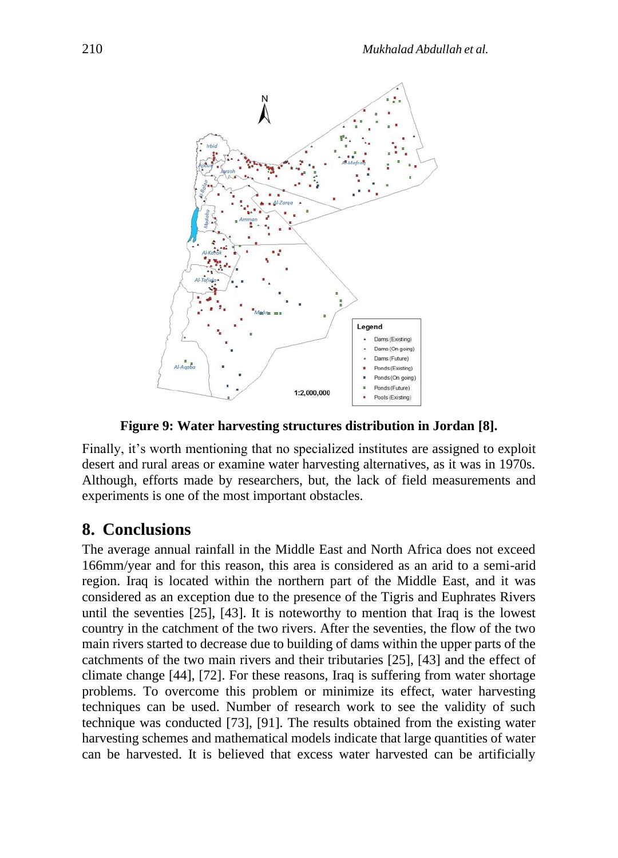

**Figure 9: Water harvesting structures distribution in Jordan [8].**

Finally, it's worth mentioning that no specialized institutes are assigned to exploit desert and rural areas or examine water harvesting alternatives, as it was in 1970s. Although, efforts made by researchers, but, the lack of field measurements and experiments is one of the most important obstacles.

## **8. Conclusions**

The average annual rainfall in the Middle East and North Africa does not exceed 166mm/year and for this reason, this area is considered as an arid to a semi-arid region. Iraq is located within the northern part of the Middle East, and it was considered as an exception due to the presence of the Tigris and Euphrates Rivers until the seventies [25], [43]. It is noteworthy to mention that Iraq is the lowest country in the catchment of the two rivers. After the seventies, the flow of the two main rivers started to decrease due to building of dams within the upper parts of the catchments of the two main rivers and their tributaries [25], [43] and the effect of climate change [44], [72]. For these reasons, Iraq is suffering from water shortage problems. To overcome this problem or minimize its effect, water harvesting techniques can be used. Number of research work to see the validity of such technique was conducted [73], [91]. The results obtained from the existing water harvesting schemes and mathematical models indicate that large quantities of water can be harvested. It is believed that excess water harvested can be artificially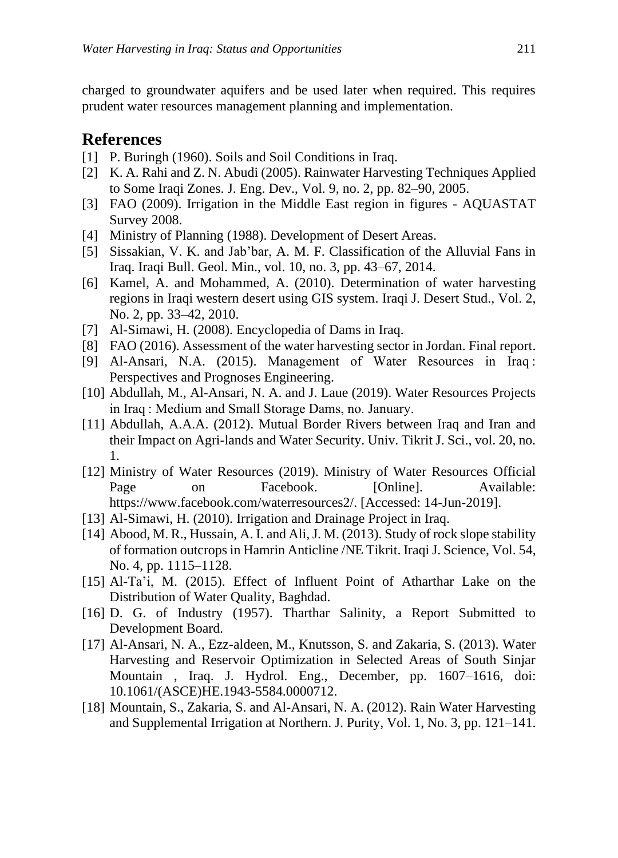charged to groundwater aquifers and be used later when required. This requires prudent water resources management planning and implementation.

#### **References**

- [1] P. Buringh (1960). Soils and Soil Conditions in Iraq.
- [2] K. A. Rahi and Z. N. Abudi (2005). Rainwater Harvesting Techniques Applied to Some Iraqi Zones. J. Eng. Dev., Vol. 9, no. 2, pp. 82–90, 2005.
- [3] FAO (2009). Irrigation in the Middle East region in figures AQUASTAT Survey 2008.
- [4] Ministry of Planning (1988). Development of Desert Areas.
- [5] Sissakian, V. K. and Jab'bar, A. M. F. Classification of the Alluvial Fans in Iraq. Iraqi Bull. Geol. Min., vol. 10, no. 3, pp. 43–67, 2014.
- [6] Kamel, A. and Mohammed, A. (2010). Determination of water harvesting regions in Iraqi western desert using GIS system. Iraqi J. Desert Stud., Vol. 2, No. 2, pp. 33–42, 2010.
- [7] Al-Simawi, H. (2008). Encyclopedia of Dams in Iraq.
- [8] FAO (2016). Assessment of the water harvesting sector in Jordan. Final report.
- [9] Al-Ansari, N.A. (2015). Management of Water Resources in Iraq : Perspectives and Prognoses Engineering.
- [10] Abdullah, M., Al-Ansari, N. A. and J. Laue (2019). Water Resources Projects in Iraq : Medium and Small Storage Dams, no. January.
- [11] Abdullah, A.A.A. (2012). Mutual Border Rivers between Iraq and Iran and their Impact on Agri-lands and Water Security. Univ. Tikrit J. Sci., vol. 20, no. 1.
- [12] Ministry of Water Resources (2019). Ministry of Water Resources Official Page on Facebook. [Online]. Available: https://www.facebook.com/waterresources2/. [Accessed: 14-Jun-2019].
- [13] Al-Simawi, H. (2010). Irrigation and Drainage Project in Iraq.
- [14] Abood, M. R., Hussain, A. I. and Ali,J. M. (2013). Study of rock slope stability of formation outcrops in Hamrin Anticline /NE Tikrit. Iraqi J. Science, Vol. 54, No. 4, pp. 1115–1128.
- [15] Al-Ta'i, M. (2015). Effect of Influent Point of Atharthar Lake on the Distribution of Water Quality, Baghdad.
- [16] D. G. of Industry (1957). Tharthar Salinity, a Report Submitted to Development Board.
- [17] Al-Ansari, N. A., Ezz-aldeen, M., Knutsson, S. and Zakaria, S. (2013). Water Harvesting and Reservoir Optimization in Selected Areas of South Sinjar Mountain , Iraq. J. Hydrol. Eng., December, pp. 1607–1616, doi: 10.1061/(ASCE)HE.1943-5584.0000712.
- [18] Mountain, S., Zakaria, S. and Al-Ansari, N. A. (2012). Rain Water Harvesting and Supplemental Irrigation at Northern. J. Purity, Vol. 1, No. 3, pp. 121–141.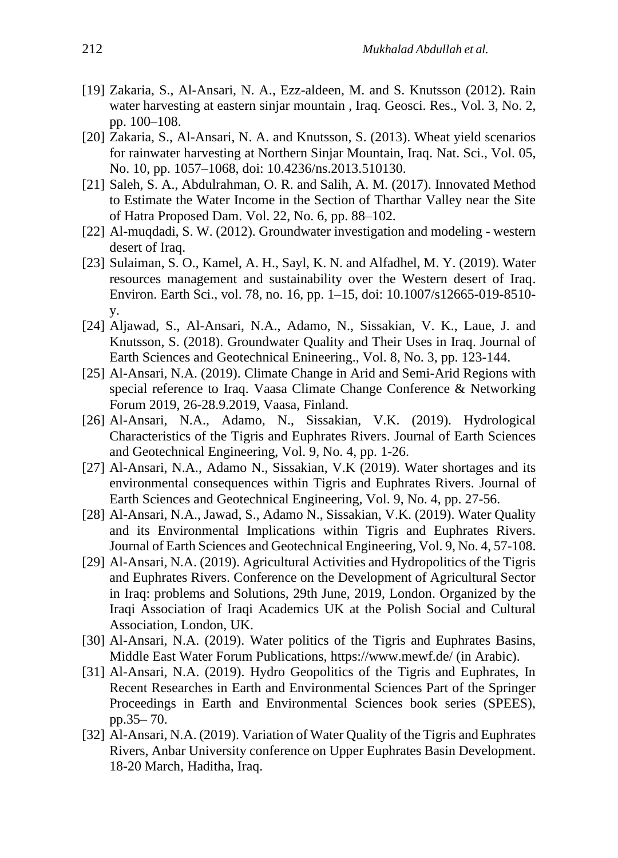- [19] Zakaria, S., Al-Ansari, N. A., Ezz-aldeen, M. and S. Knutsson (2012). Rain water harvesting at eastern sinjar mountain , Iraq. Geosci. Res., Vol. 3, No. 2, pp. 100–108.
- [20] Zakaria, S., Al-Ansari, N. A. and Knutsson, S. (2013). Wheat yield scenarios for rainwater harvesting at Northern Sinjar Mountain, Iraq. Nat. Sci., Vol. 05, No. 10, pp. 1057–1068, doi: 10.4236/ns.2013.510130.
- [21] Saleh, S. A., Abdulrahman, O. R. and Salih, A. M. (2017). Innovated Method to Estimate the Water Income in the Section of Tharthar Valley near the Site of Hatra Proposed Dam. Vol. 22, No. 6, pp. 88–102.
- [22] Al-muqdadi, S. W. (2012). Groundwater investigation and modeling western desert of Iraq.
- [23] Sulaiman, S. O., Kamel, A. H., Sayl, K. N. and Alfadhel, M. Y. (2019). Water resources management and sustainability over the Western desert of Iraq. Environ. Earth Sci., vol. 78, no. 16, pp. 1–15, doi: 10.1007/s12665-019-8510 y.
- [24] Aljawad, S., Al-Ansari, N.A., Adamo, N., Sissakian, V. K., Laue, J. and Knutsson, S. (2018). Groundwater Quality and Their Uses in Iraq. Journal of Earth Sciences and Geotechnical Enineering., Vol. 8, No. 3, pp. 123-144.
- [25] Al-Ansari, N.A. (2019). Climate Change in Arid and Semi-Arid Regions with special reference to Iraq. Vaasa Climate Change Conference & Networking Forum 2019, 26-28.9.2019, Vaasa, Finland.
- [26] Al-Ansari, N.A., Adamo, N., Sissakian, V.K. (2019). Hydrological Characteristics of the Tigris and Euphrates Rivers. Journal of Earth Sciences and Geotechnical Engineering, Vol. 9, No. 4, pp. 1-26.
- [27] Al-Ansari, N.A., Adamo N., Sissakian, V.K (2019). Water shortages and its environmental consequences within Tigris and Euphrates Rivers. Journal of Earth Sciences and Geotechnical Engineering, Vol. 9, No. 4, pp. 27-56.
- [28] Al-Ansari, N.A., Jawad, S., Adamo N., Sissakian, V.K. (2019). Water Quality and its Environmental Implications within Tigris and Euphrates Rivers. Journal of Earth Sciences and Geotechnical Engineering, Vol. 9, No. 4, 57-108.
- [29] Al-Ansari, N.A. (2019). Agricultural Activities and Hydropolitics of the Tigris and Euphrates Rivers. Conference on the Development of Agricultural Sector in Iraq: problems and Solutions, 29th June, 2019, London. Organized by the Iraqi Association of Iraqi Academics UK at the Polish Social and Cultural Association, London, UK.
- [30] Al-Ansari, N.A. (2019). Water politics of the Tigris and Euphrates Basins, Middle East Water Forum Publications,<https://www.mewf.de/> (in Arabic).
- [31] Al-Ansari, N.A. (2019). Hydro Geopolitics of the Tigris and Euphrates, In Recent Researches in Earth and Environmental Sciences Part of the Springer Proceedings in Earth and Environmental Sciences book series (SPEES), pp.35– 70.
- [32] Al-Ansari, N.A. (2019). Variation of Water Quality of the Tigris and Euphrates Rivers, Anbar University conference on Upper Euphrates Basin Development. 18-20 March, Haditha, Iraq.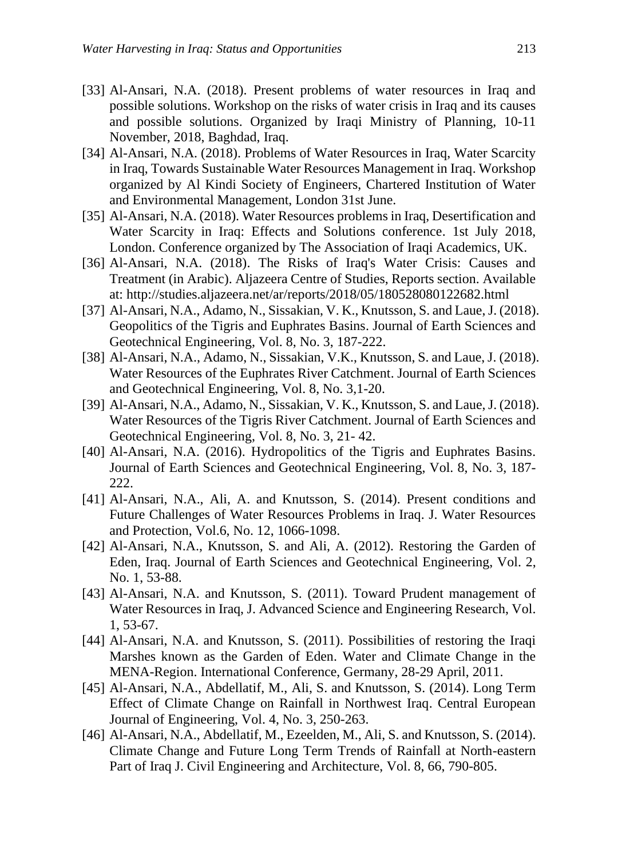- [33] Al-Ansari, N.A. (2018). Present problems of water resources in Iraq and possible solutions. Workshop on the risks of water crisis in Iraq and its causes and possible solutions. Organized by Iraqi Ministry of Planning, 10-11 November, 2018, Baghdad, Iraq.
- [34] Al-Ansari, N.A. (2018). Problems of Water Resources in Iraq, Water Scarcity in Iraq, Towards Sustainable Water Resources Management in Iraq. Workshop organized by Al Kindi Society of Engineers, Chartered Institution of Water and Environmental Management, London 31st June.
- [35] Al-Ansari, N.A. (2018). Water Resources problems in Iraq, Desertification and Water Scarcity in Iraq: Effects and Solutions conference. 1st July 2018, London. Conference organized by The Association of Iraqi Academics, UK.
- [36] Al-Ansari, N.A. (2018). The Risks of Iraq's Water Crisis: Causes and Treatment (in Arabic). Aljazeera Centre of Studies, Reports section. Available at: http://studies.aljazeera.net/ar/reports/2018/05/180528080122682.html
- [37] Al-Ansari, N.A., Adamo, N., Sissakian, V. K., Knutsson, S. and Laue, J. (2018). Geopolitics of the Tigris and Euphrates Basins. Journal of Earth Sciences and Geotechnical Engineering, Vol. 8, No. 3, 187-222.
- [38] Al-Ansari, N.A., Adamo, N., Sissakian, V.K., Knutsson, S. and Laue, J. (2018). Water Resources of the Euphrates River Catchment. Journal of Earth Sciences and Geotechnical Engineering, Vol. 8, No. 3,1-20.
- [39] Al-Ansari, N.A., Adamo, N., Sissakian, V. K., Knutsson, S. and Laue, J. (2018). Water Resources of the Tigris River Catchment. Journal of Earth Sciences and Geotechnical Engineering, Vol. 8, No. 3, 21- 42.
- [40] Al-Ansari, N.A. (2016). Hydropolitics of the Tigris and Euphrates Basins. Journal of Earth Sciences and Geotechnical Engineering, Vol. 8, No. 3, 187- 222.
- [41] Al-Ansari, N.A., Ali, A. and Knutsson, S. (2014). Present conditions and Future Challenges of Water Resources Problems in Iraq. J. Water Resources and Protection, Vol.6, No. 12, 1066-1098.
- [42] Al-Ansari, N.A., Knutsson, S. and Ali, A. (2012). Restoring the Garden of Eden, Iraq. Journal of Earth Sciences and Geotechnical Engineering, Vol. 2, No. 1, 53-88.
- [43] Al-Ansari, N.A. and Knutsson, S. (2011). Toward Prudent management of Water Resources in Iraq, J. Advanced Science and Engineering Research, Vol. 1, 53-67.
- [44] Al-Ansari, N.A. and Knutsson, S. (2011). Possibilities of restoring the Iraqi Marshes known as the Garden of Eden. Water and Climate Change in the MENA-Region. International Conference, Germany, 28-29 April, 2011.
- [45] Al-Ansari, N.A., Abdellatif, M., Ali, S. and Knutsson, S. (2014). Long Term Effect of Climate Change on Rainfall in Northwest Iraq. Central European Journal of Engineering, Vol. 4, No. 3, 250-263.
- [46] Al-Ansari, N.A., Abdellatif, M., Ezeelden, M., Ali, S. and Knutsson, S. (2014). Climate Change and Future Long Term Trends of Rainfall at North-eastern Part of Iraq J. Civil Engineering and Architecture, Vol. 8, 66, 790-805.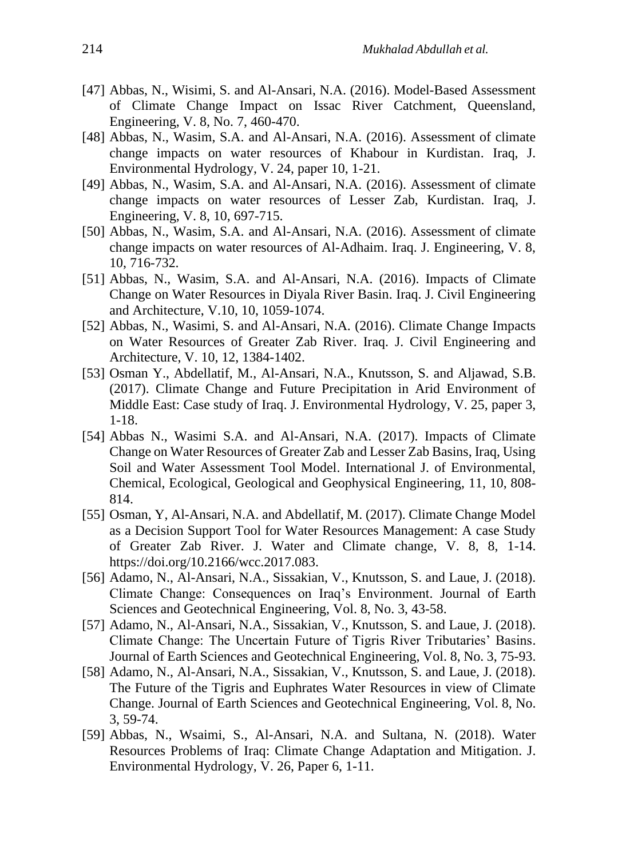- [47] Abbas, N., Wisimi, S. and Al-Ansari, N.A. (2016). Model-Based Assessment of Climate Change Impact on Issac River Catchment, Queensland, Engineering, V. 8, No. 7, 460-470.
- [48] Abbas, N., Wasim, S.A. and Al-Ansari, N.A. (2016). Assessment of climate change impacts on water resources of Khabour in Kurdistan. Iraq, J. Environmental Hydrology, V. 24, paper 10, 1-21.
- [49] Abbas, N., Wasim, S.A. and Al-Ansari, N.A. (2016). Assessment of climate change impacts on water resources of Lesser Zab, Kurdistan. Iraq, J. Engineering, V. 8, 10, 697-715.
- [50] Abbas, N., Wasim, S.A. and Al-Ansari, N.A. (2016). Assessment of climate change impacts on water resources of Al-Adhaim. Iraq. J. Engineering, V. 8, 10, 716-732.
- [51] Abbas, N., Wasim, S.A. and Al-Ansari, N.A. (2016). Impacts of Climate Change on Water Resources in Diyala River Basin. Iraq. J. Civil Engineering and Architecture, V.10, 10, 1059-1074.
- [52] Abbas, N., Wasimi, S. and Al-Ansari, N.A. (2016). Climate Change Impacts on Water Resources of Greater Zab River. Iraq. J. Civil Engineering and Architecture, V. 10, 12, 1384-1402.
- [53] Osman Y., Abdellatif, M., Al-Ansari, N.A., Knutsson, S. and Aljawad, S.B. (2017). Climate Change and Future Precipitation in Arid Environment of Middle East: Case study of Iraq. J. Environmental Hydrology, V. 25, paper 3, 1-18.
- [54] Abbas N., Wasimi S.A. and Al-Ansari, N.A. (2017). Impacts of Climate Change on Water Resources of Greater Zab and Lesser Zab Basins, Iraq, Using Soil and Water Assessment Tool Model. International J. of Environmental, Chemical, Ecological, Geological and Geophysical Engineering, 11, 10, 808- 814.
- [55] Osman, Y, Al-Ansari, N.A. and Abdellatif, M. (2017). Climate Change Model as a Decision Support Tool for Water Resources Management: A case Study of Greater Zab River. J. Water and Climate change, V. 8, 8, 1-14. [https://doi.org/10.2166/wcc.2017.083.](https://doi.org/10.2166/wcc.2017.083)
- [56] Adamo, N., Al-Ansari, N.A., Sissakian, V., Knutsson, S. and Laue, J. (2018). Climate Change: Consequences on Iraq's Environment. Journal of Earth Sciences and Geotechnical Engineering, Vol. 8, No. 3, 43-58.
- [57] Adamo, N., Al-Ansari, N.A., Sissakian, V., Knutsson, S. and Laue, J. (2018). Climate Change: The Uncertain Future of Tigris River Tributaries' Basins. Journal of Earth Sciences and Geotechnical Engineering, Vol. 8, No. 3, 75-93.
- [58] Adamo, N., Al-Ansari, N.A., Sissakian, V., Knutsson, S. and Laue, J. (2018). The Future of the Tigris and Euphrates Water Resources in view of Climate Change. Journal of Earth Sciences and Geotechnical Engineering, Vol. 8, No. 3, 59-74.
- [59] Abbas, N., Wsaimi, S., Al-Ansari, N.A. and Sultana, N. (2018). Water Resources Problems of Iraq: Climate Change Adaptation and Mitigation. J. Environmental Hydrology, V. 26, Paper 6, 1-11.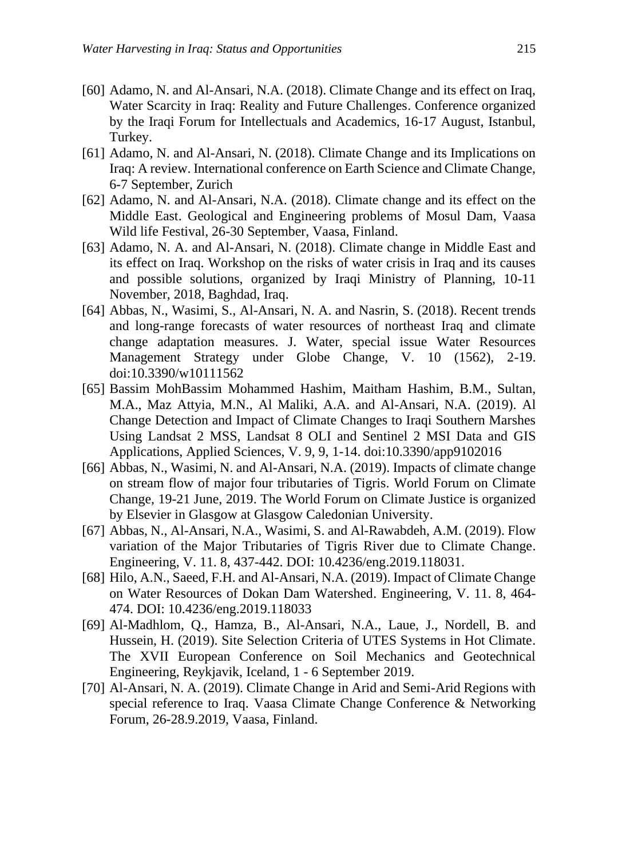- [60] Adamo, N. and Al-Ansari, N.A. (2018). Climate Change and its effect on Iraq, Water Scarcity in Iraq: Reality and Future Challenges. Conference organized by the Iraqi Forum for Intellectuals and Academics, 16-17 August, Istanbul, Turkey.
- [61] Adamo, N. and Al-Ansari, N. (2018). Climate Change and its Implications on Iraq: A review. International conference on Earth Science and Climate Change, 6-7 September, Zurich
- [62] Adamo, N. and Al-Ansari, N.A. (2018). Climate change and its effect on the Middle East. Geological and Engineering problems of Mosul Dam, Vaasa Wild life Festival, 26-30 September, Vaasa, Finland.
- [63] Adamo, N. A. and Al-Ansari, N. (2018). Climate change in Middle East and its effect on Iraq. Workshop on the risks of water crisis in Iraq and its causes and possible solutions, organized by Iraqi Ministry of Planning, 10-11 November, 2018, Baghdad, Iraq.
- [64] Abbas, N., Wasimi, S., Al-Ansari, N. A. and Nasrin, S. (2018). Recent trends and long-range forecasts of water resources of northeast Iraq and climate change adaptation measures. J. Water, special issue Water Resources Management Strategy under Globe Change, V. 10 (1562), 2-19. doi:10.3390/w10111562
- [65] Bassim MohBassim Mohammed Hashim, Maitham Hashim, B.M., Sultan, M.A., Maz Attyia, M.N., Al Maliki, A.A. and Al-Ansari, N.A. (2019). Al Change Detection and Impact of Climate Changes to Iraqi Southern Marshes Using Landsat 2 MSS, Landsat 8 OLI and Sentinel 2 MSI Data and GIS Applications, Applied Sciences, V. 9, 9, 1-14. doi:10.3390/app9102016
- [66] Abbas, N., Wasimi, N. and Al-Ansari, N.A. (2019). Impacts of climate change on stream flow of major four tributaries of Tigris. World Forum on Climate Change, 19-21 June, 2019. The World Forum on Climate Justice is organized by Elsevier in Glasgow at Glasgow Caledonian University.
- [67] Abbas, N., Al-Ansari, N.A., Wasimi, S. and Al-Rawabdeh, A.M. (2019). Flow variation of the Major Tributaries of Tigris River due to Climate Change. Engineering, V. 11. 8, 437-442. DOI: 10.4236/eng.2019.118031.
- [68] Hilo, A.N., Saeed, F.H. and Al-Ansari, N.A. (2019). Impact of Climate Change on Water Resources of Dokan Dam Watershed. Engineering, V. 11. 8, 464- 474. DOI: 10.4236/eng.2019.118033
- [69] Al-Madhlom, Q., Hamza, B., Al-Ansari, N.A., Laue, J., Nordell, B. and Hussein, H. (2019). Site Selection Criteria of UTES Systems in Hot Climate. The XVII European Conference on Soil Mechanics and Geotechnical Engineering, Reykjavik, Iceland, 1 - 6 September 2019.
- [70] Al-Ansari, N. A. (2019). Climate Change in Arid and Semi-Arid Regions with special reference to Iraq. Vaasa Climate Change Conference & Networking Forum, 26-28.9.2019, Vaasa, Finland.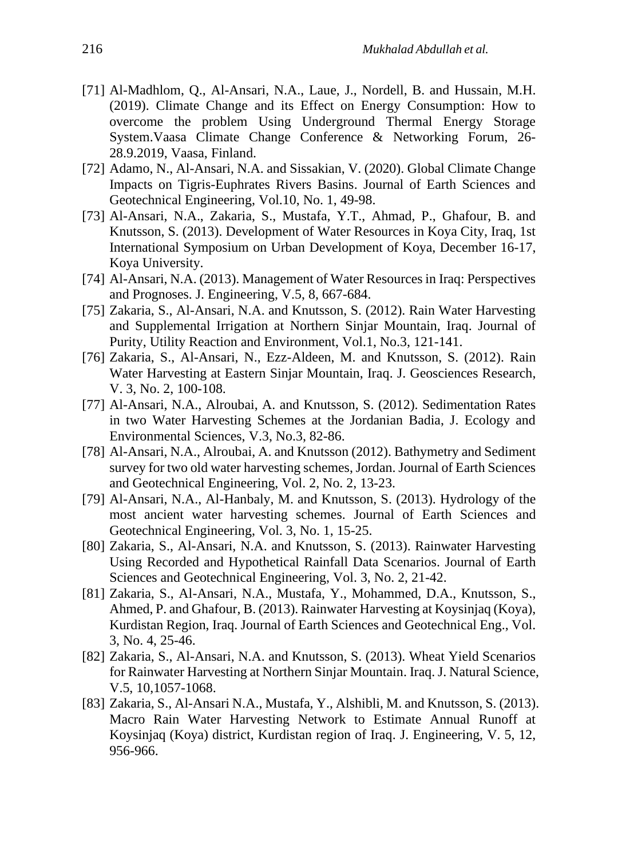- [71] Al-Madhlom, Q., Al-Ansari, N.A., Laue, J., Nordell, B. and Hussain, M.H. (2019). Climate Change and its Effect on Energy Consumption: How to overcome the problem Using Underground Thermal Energy Storage System.Vaasa Climate Change Conference & Networking Forum, 26- 28.9.2019, Vaasa, Finland.
- [72] Adamo, N., Al-Ansari, N.A. and Sissakian, V. (2020). Global Climate Change Impacts on Tigris-Euphrates Rivers Basins. Journal of Earth Sciences and Geotechnical Engineering, Vol.10, No. 1, 49-98.
- [73] Al-Ansari, N.A., Zakaria, S., Mustafa, Y.T., Ahmad, P., Ghafour, B. and Knutsson, S. (2013). Development of Water Resources in Koya City, Iraq, 1st International Symposium on Urban Development of Koya, December 16-17, Koya University.
- [74] Al-Ansari, N.A. (2013). Management of Water Resources in Iraq: Perspectives and Prognoses. J. Engineering, V.5, 8, 667-684.
- [75] Zakaria, S., Al-Ansari, N.A. and Knutsson, S. (2012). Rain Water Harvesting and Supplemental Irrigation at Northern Sinjar Mountain, Iraq. Journal of Purity, Utility Reaction and Environment, Vol.1, No.3, 121-141.
- [76] Zakaria, S., Al-Ansari, N., Ezz-Aldeen, M. and Knutsson, S. (2012). Rain Water Harvesting at Eastern Sinjar Mountain, Iraq. J. Geosciences Research, V. 3, No. 2, 100-108.
- [77] Al-Ansari, N.A., Alroubai, A. and Knutsson, S. (2012). Sedimentation Rates in two Water Harvesting Schemes at the Jordanian Badia, J. Ecology and Environmental Sciences, V.3, No.3, 82-86.
- [78] Al-Ansari, N.A., Alroubai, A. and Knutsson (2012). Bathymetry and Sediment survey for two old water harvesting schemes, Jordan. Journal of Earth Sciences and Geotechnical Engineering, Vol. 2, No. 2, 13-23.
- [79] Al-Ansari, N.A., Al-Hanbaly, M. and Knutsson, S. (2013). Hydrology of the most ancient water harvesting schemes. Journal of Earth Sciences and Geotechnical Engineering, Vol. 3, No. 1, 15-25.
- [80] Zakaria, S., Al-Ansari, N.A. and Knutsson, S. (2013). Rainwater Harvesting Using Recorded and Hypothetical Rainfall Data Scenarios. Journal of Earth Sciences and Geotechnical Engineering, Vol. 3, No. 2, 21-42.
- [81] Zakaria, S., Al-Ansari, N.A., Mustafa, Y., Mohammed, D.A., Knutsson, S., Ahmed, P. and Ghafour, B. (2013). Rainwater Harvesting at Koysinjaq (Koya), Kurdistan Region, Iraq. Journal of Earth Sciences and Geotechnical Eng., Vol. 3, No. 4, 25-46.
- [82] Zakaria, S., Al-Ansari, N.A. and Knutsson, S. (2013). Wheat Yield Scenarios for Rainwater Harvesting at Northern Sinjar Mountain. Iraq. J. Natural Science, V.5, 10,1057-1068.
- [83] Zakaria, S., Al-Ansari N.A., Mustafa, Y., Alshibli, M. and Knutsson, S. (2013). Macro Rain Water Harvesting Network to Estimate Annual Runoff at Koysinjaq (Koya) district, Kurdistan region of Iraq. J. Engineering, V. 5, 12, 956-966.